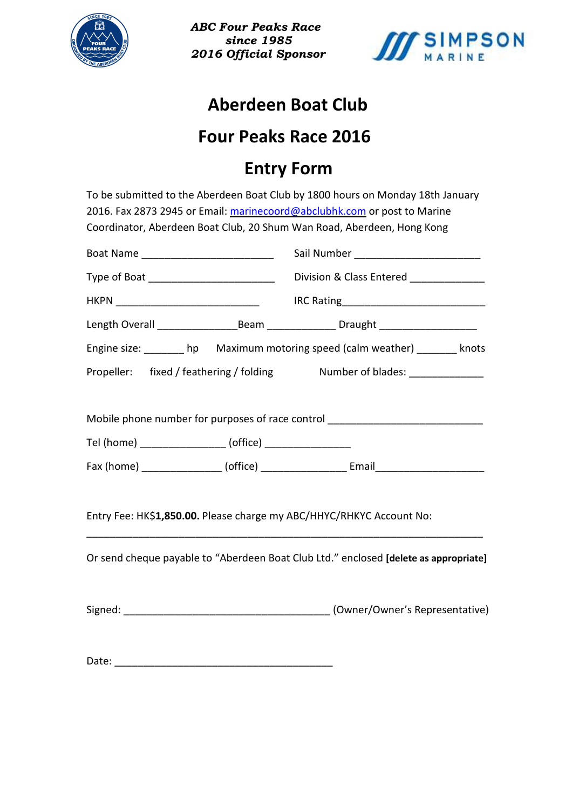



#### **Aberdeen Boat Club**

#### **Four Peaks Race 2016**

#### **Entry Form**

To be submitted to the Aberdeen Boat Club by 1800 hours on Monday 18th January 2016. Fax 2873 2945 or Email: marinecoord@abclubhk.com or post to Marine Coordinator, Aberdeen Boat Club, 20 Shum Wan Road, Aberdeen, Hong Kong

| Boat Name _______________________________                            |                                                                                      |
|----------------------------------------------------------------------|--------------------------------------------------------------------------------------|
| Type of Boat ________________________________                        | Division & Class Entered _____________                                               |
|                                                                      |                                                                                      |
|                                                                      |                                                                                      |
|                                                                      | Engine size: _______ hp Maximum motoring speed (calm weather) _______ knots          |
|                                                                      | Propeller: fixed / feathering / folding Mumber of blades: _______________            |
| Tel (home) ___________________ (office) __________________           | Mobile phone number for purposes of race control _______________________________     |
| Entry Fee: HK\$1,850.00. Please charge my ABC/HHYC/RHKYC Account No: |                                                                                      |
|                                                                      | Or send cheque payable to "Aberdeen Boat Club Ltd." enclosed [delete as appropriate] |

|  | Signed: |  | (Owner/Owner's Representative) |
|--|---------|--|--------------------------------|
|--|---------|--|--------------------------------|

Date: \_\_\_\_\_\_\_\_\_\_\_\_\_\_\_\_\_\_\_\_\_\_\_\_\_\_\_\_\_\_\_\_\_\_\_\_\_\_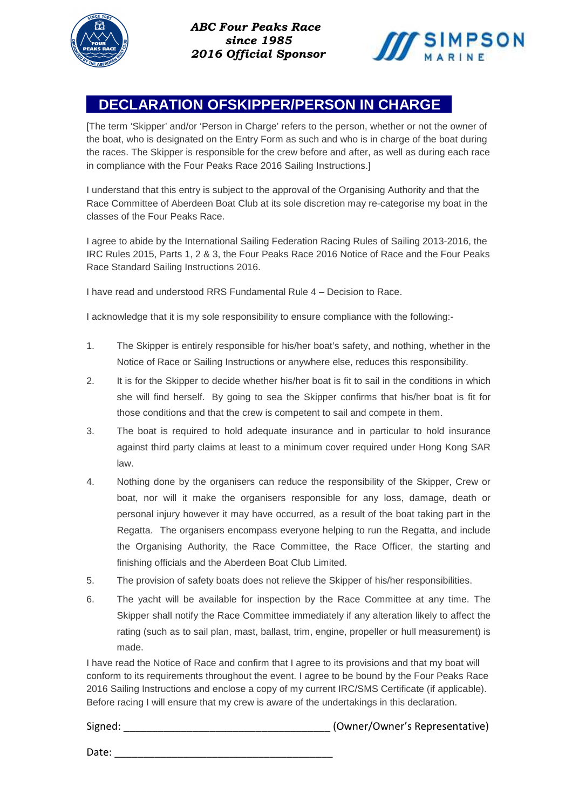



#### **DECLARATION OFSKIPPER/PERSON IN CHARGE**

[The term 'Skipper' and/or 'Person in Charge' refers to the person, whether or not the owner of the boat, who is designated on the Entry Form as such and who is in charge of the boat during the races. The Skipper is responsible for the crew before and after, as well as during each race in compliance with the Four Peaks Race 2016 Sailing Instructions.]

I understand that this entry is subject to the approval of the Organising Authority and that the Race Committee of Aberdeen Boat Club at its sole discretion may re-categorise my boat in the classes of the Four Peaks Race.

I agree to abide by the International Sailing Federation Racing Rules of Sailing 2013-2016, the IRC Rules 2015, Parts 1, 2 & 3, the Four Peaks Race 2016 Notice of Race and the Four Peaks Race Standard Sailing Instructions 2016.

I have read and understood RRS Fundamental Rule 4 – Decision to Race.

I acknowledge that it is my sole responsibility to ensure compliance with the following:-

- 1. The Skipper is entirely responsible for his/her boat's safety, and nothing, whether in the Notice of Race or Sailing Instructions or anywhere else, reduces this responsibility.
- 2. It is for the Skipper to decide whether his/her boat is fit to sail in the conditions in which she will find herself. By going to sea the Skipper confirms that his/her boat is fit for those conditions and that the crew is competent to sail and compete in them.
- 3. The boat is required to hold adequate insurance and in particular to hold insurance against third party claims at least to a minimum cover required under Hong Kong SAR law.
- 4. Nothing done by the organisers can reduce the responsibility of the Skipper, Crew or boat, nor will it make the organisers responsible for any loss, damage, death or personal injury however it may have occurred, as a result of the boat taking part in the Regatta. The organisers encompass everyone helping to run the Regatta, and include the Organising Authority, the Race Committee, the Race Officer, the starting and finishing officials and the Aberdeen Boat Club Limited.
- 5. The provision of safety boats does not relieve the Skipper of his/her responsibilities.
- 6. The yacht will be available for inspection by the Race Committee at any time. The Skipper shall notify the Race Committee immediately if any alteration likely to affect the rating (such as to sail plan, mast, ballast, trim, engine, propeller or hull measurement) is made.

I have read the Notice of Race and confirm that I agree to its provisions and that my boat will conform to its requirements throughout the event. I agree to be bound by the Four Peaks Race 2016 Sailing Instructions and enclose a copy of my current IRC/SMS Certificate (if applicable). Before racing I will ensure that my crew is aware of the undertakings in this declaration.

Signed: \_\_\_\_\_\_\_\_\_\_\_\_\_\_\_\_\_\_\_\_\_\_\_\_\_\_\_\_\_\_\_\_\_\_\_\_ (Owner/Owner's Representative)

Date: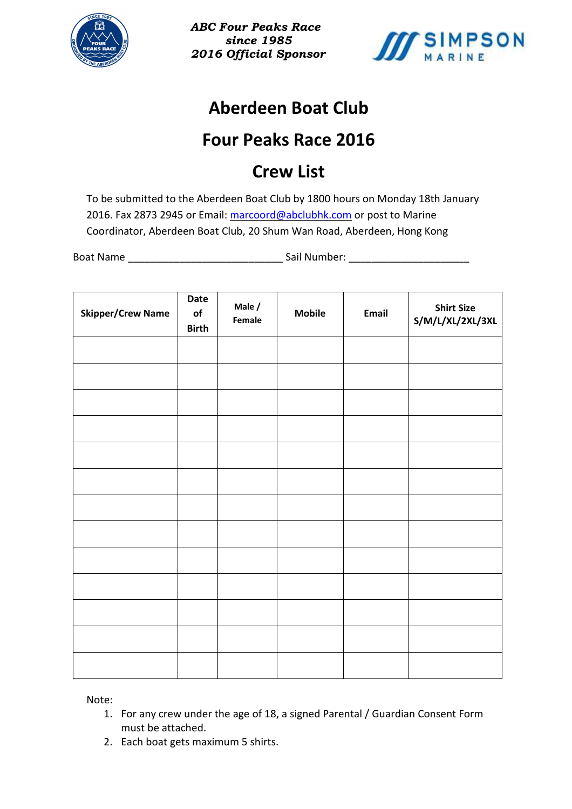



# **Aberdeen Boat Club**

# **Four Peaks Race 2016**

# **Crew List**

To be submitted to the Aberdeen Boat Club by 1800 hours on Monday 18th January 2016. Fax 2873 2945 or Email: marcoord@abclubhk.com or post to Marine Coordinator, Aberdeen Boat Club, 20 Shum Wan Road, Aberdeen, Hong Kong

Boat Name **Example 2018** Sail Number:

| <b>Skipper/Crew Name</b> | Date<br>of<br><b>Birth</b> | Male /<br>Female | <b>Mobile</b> | Email | <b>Shirt Size</b><br>S/M/L/XL/2XL/3XL |
|--------------------------|----------------------------|------------------|---------------|-------|---------------------------------------|
|                          |                            |                  |               |       |                                       |
|                          |                            |                  |               |       |                                       |
|                          |                            |                  |               |       |                                       |
|                          |                            |                  |               |       |                                       |
|                          |                            |                  |               |       |                                       |
|                          |                            |                  |               |       |                                       |
|                          |                            |                  |               |       |                                       |
|                          |                            |                  |               |       |                                       |
|                          |                            |                  |               |       |                                       |
|                          |                            |                  |               |       |                                       |
|                          |                            |                  |               |       |                                       |
|                          |                            |                  |               |       |                                       |
|                          |                            |                  |               |       |                                       |

Note:

- 1. For any crew under the age of 18, a signed Parental / Guardian Consent Form must be attached.
- 2. Each boat gets maximum 5 shirts.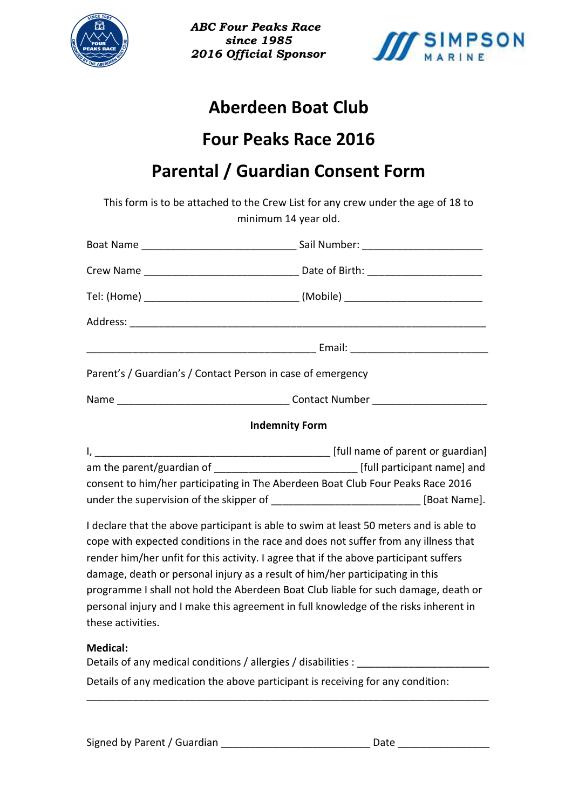



## **Aberdeen Boat Club**

#### **Four Peaks Race 2016**

#### **Parental / Guardian Consent Form**

This form is to be attached to the Crew List for any crew under the age of 18 to minimum 14 year old.

| Parent's / Guardian's / Contact Person in case of emergency                                                                                                                                                                                                                                                                                                                                                                                                                                                                                                                                                                                                                                                                                                                                                                       |  |  |  |  |
|-----------------------------------------------------------------------------------------------------------------------------------------------------------------------------------------------------------------------------------------------------------------------------------------------------------------------------------------------------------------------------------------------------------------------------------------------------------------------------------------------------------------------------------------------------------------------------------------------------------------------------------------------------------------------------------------------------------------------------------------------------------------------------------------------------------------------------------|--|--|--|--|
|                                                                                                                                                                                                                                                                                                                                                                                                                                                                                                                                                                                                                                                                                                                                                                                                                                   |  |  |  |  |
| <b>Indemnity Form</b>                                                                                                                                                                                                                                                                                                                                                                                                                                                                                                                                                                                                                                                                                                                                                                                                             |  |  |  |  |
| am the parent/guardian of _________________________________ [full participant name] and<br>consent to him/her participating in The Aberdeen Boat Club Four Peaks Race 2016<br>under the supervision of the skipper of ________________________________ [Boat Name].<br>I declare that the above participant is able to swim at least 50 meters and is able to<br>cope with expected conditions in the race and does not suffer from any illness that<br>render him/her unfit for this activity. I agree that if the above participant suffers<br>damage, death or personal injury as a result of him/her participating in this<br>programme I shall not hold the Aberdeen Boat Club liable for such damage, death or<br>personal injury and I make this agreement in full knowledge of the risks inherent in<br>these activities. |  |  |  |  |
| <b>Medical:</b><br>Details of any medical conditions / allergies / disabilities :                                                                                                                                                                                                                                                                                                                                                                                                                                                                                                                                                                                                                                                                                                                                                 |  |  |  |  |

Details of any medication the above participant is receiving for any condition:

\_\_\_\_\_\_\_\_\_\_\_\_\_\_\_\_\_\_\_\_\_\_\_\_\_\_\_\_\_\_\_\_\_\_\_\_\_\_\_\_\_\_\_\_\_\_\_\_\_\_\_\_\_\_\_\_\_\_\_\_\_\_\_\_\_\_\_\_\_\_